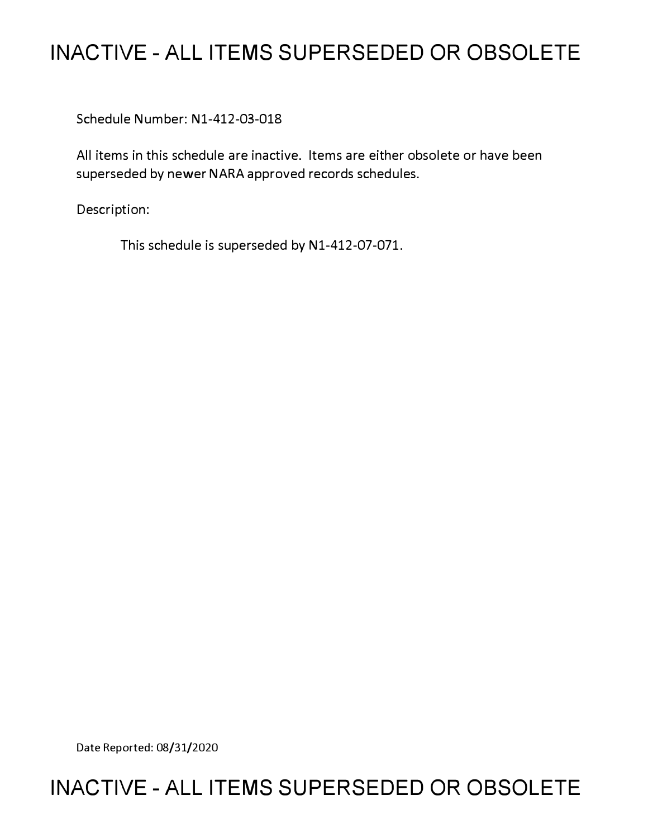## **INACTIVE - ALL ITEMS SUPERSEDED OR OBSOLETE**

Schedule Number: Nl-412-03-018

All items in this schedule are inactive. Items are either obsolete or have been superseded by newer NARA approved records schedules.

Description:

This schedule is superseded by Nl-412-07-071.

Date Reported: 08/31/2020

## **INACTIVE - ALL ITEMS SUPERSEDED OR OBSOLETE**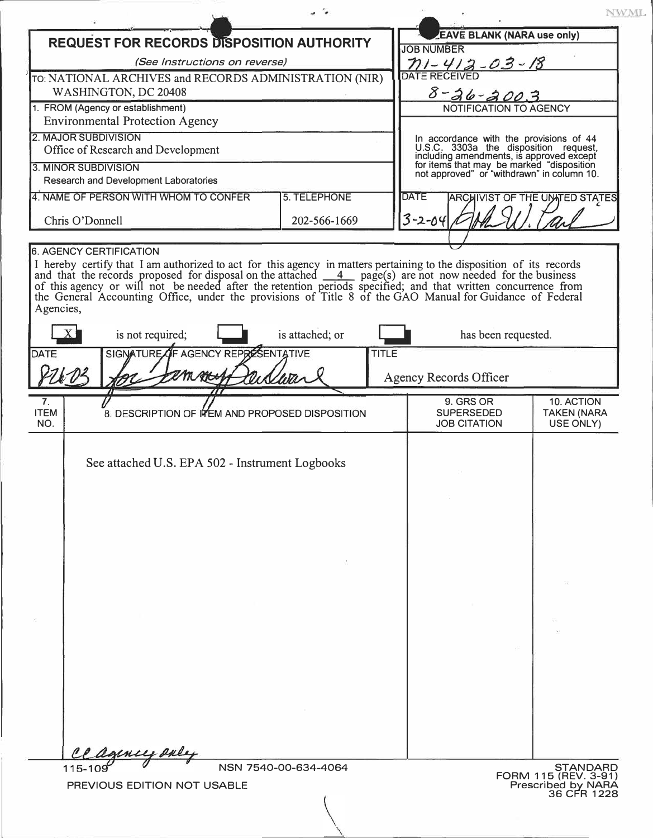|                                                                                                                                                                                                                                                                                                                                                 |                                                 |                      |              |                                                                                                                                     | NWML.                                 |  |
|-------------------------------------------------------------------------------------------------------------------------------------------------------------------------------------------------------------------------------------------------------------------------------------------------------------------------------------------------|-------------------------------------------------|----------------------|--------------|-------------------------------------------------------------------------------------------------------------------------------------|---------------------------------------|--|
| <b>REQUEST FOR RECORDS DISPOSITION AUTHORITY</b>                                                                                                                                                                                                                                                                                                |                                                 |                      |              | <b>EAVE BLANK (NARA use only)</b>                                                                                                   |                                       |  |
| (See Instructions on reverse)                                                                                                                                                                                                                                                                                                                   |                                                 |                      |              | <b>JOB NUMBER</b><br>$71 - 412 - 03 - 18$                                                                                           |                                       |  |
| TO: NATIONAL ARCHIVES and RECORDS ADMINISTRATION (NIR)                                                                                                                                                                                                                                                                                          |                                                 |                      |              | <b>DATE RECEIVED</b>                                                                                                                |                                       |  |
| WASHINGTON, DC 20408                                                                                                                                                                                                                                                                                                                            |                                                 |                      |              | $8 - 26 - 2003$                                                                                                                     |                                       |  |
| 1. FROM (Agency or establishment)                                                                                                                                                                                                                                                                                                               |                                                 |                      |              | NOTIFICATION TO AGENCY                                                                                                              |                                       |  |
| <b>Environmental Protection Agency</b>                                                                                                                                                                                                                                                                                                          |                                                 |                      |              |                                                                                                                                     |                                       |  |
| <b>2. MAJOR SUBDIVISION</b><br>Office of Research and Development                                                                                                                                                                                                                                                                               |                                                 |                      |              | In accordance with the provisions of 44<br>U.S.C. 3303a the disposition request,                                                    |                                       |  |
| 3. MINOR SUBDIVISION                                                                                                                                                                                                                                                                                                                            |                                                 |                      |              | including amendments, is approved except<br>for items that may be marked "disposition<br>not approved" or "withdrawn" in column 10. |                                       |  |
| Research and Development Laboratories                                                                                                                                                                                                                                                                                                           |                                                 |                      |              |                                                                                                                                     |                                       |  |
| 5. TELEPHONE<br>4. NAME OF PERSON WITH WHOM TO CONFER                                                                                                                                                                                                                                                                                           |                                                 |                      |              | <b>DATE</b>                                                                                                                         | <b>ARCHIVIST OF THE UNATED STATES</b> |  |
| Chris O'Donnell                                                                                                                                                                                                                                                                                                                                 |                                                 | 202-566-1669         | $3 - 2 - 04$ |                                                                                                                                     |                                       |  |
|                                                                                                                                                                                                                                                                                                                                                 |                                                 |                      |              |                                                                                                                                     |                                       |  |
| <b>6. AGENCY CERTIFICATION</b>                                                                                                                                                                                                                                                                                                                  |                                                 |                      |              |                                                                                                                                     |                                       |  |
| and that the records proposed for disposal on the attached 4 page(s) are not now needed for the business of this agency or will not be needed after the retention periods specified; and that written concurrence from<br>the General Accounting Office, under the provisions of Title 8 of the GAO Manual for Guidance of Federal<br>Agencies, |                                                 |                      |              |                                                                                                                                     |                                       |  |
| is not required;                                                                                                                                                                                                                                                                                                                                |                                                 | is attached; or      |              | has been requested.                                                                                                                 |                                       |  |
| DATE                                                                                                                                                                                                                                                                                                                                            | SIGNATURE OF AGENCY REPRESENTATIVE              | <b>TITLE</b>         |              |                                                                                                                                     |                                       |  |
|                                                                                                                                                                                                                                                                                                                                                 |                                                 |                      |              | <b>Agency Records Officer</b>                                                                                                       |                                       |  |
| 7 <sub>1</sub>                                                                                                                                                                                                                                                                                                                                  |                                                 |                      |              | 9. GRS OR                                                                                                                           | 10. ACTION                            |  |
| <b>ITEM</b>                                                                                                                                                                                                                                                                                                                                     | 8. DESCRIPTION OF ITEM AND PROPOSED DISPOSITION |                      |              | <b>SUPERSEDED</b>                                                                                                                   | <b>TAKEN (NARA</b>                    |  |
| NO.                                                                                                                                                                                                                                                                                                                                             |                                                 |                      |              | <b>JOB CITATION</b>                                                                                                                 | USE ONLY)                             |  |
| See attached U.S. EPA 502 - Instrument Logbooks                                                                                                                                                                                                                                                                                                 |                                                 |                      |              |                                                                                                                                     |                                       |  |
|                                                                                                                                                                                                                                                                                                                                                 |                                                 |                      |              |                                                                                                                                     |                                       |  |
|                                                                                                                                                                                                                                                                                                                                                 |                                                 |                      |              |                                                                                                                                     |                                       |  |
|                                                                                                                                                                                                                                                                                                                                                 |                                                 |                      |              |                                                                                                                                     |                                       |  |
|                                                                                                                                                                                                                                                                                                                                                 |                                                 |                      |              |                                                                                                                                     |                                       |  |
|                                                                                                                                                                                                                                                                                                                                                 |                                                 |                      |              |                                                                                                                                     |                                       |  |
|                                                                                                                                                                                                                                                                                                                                                 |                                                 |                      |              |                                                                                                                                     |                                       |  |
|                                                                                                                                                                                                                                                                                                                                                 |                                                 |                      |              |                                                                                                                                     |                                       |  |
|                                                                                                                                                                                                                                                                                                                                                 |                                                 |                      |              |                                                                                                                                     |                                       |  |
|                                                                                                                                                                                                                                                                                                                                                 |                                                 |                      |              |                                                                                                                                     |                                       |  |
|                                                                                                                                                                                                                                                                                                                                                 |                                                 |                      |              |                                                                                                                                     |                                       |  |
|                                                                                                                                                                                                                                                                                                                                                 |                                                 |                      |              |                                                                                                                                     |                                       |  |
|                                                                                                                                                                                                                                                                                                                                                 |                                                 |                      |              |                                                                                                                                     |                                       |  |
|                                                                                                                                                                                                                                                                                                                                                 |                                                 |                      |              |                                                                                                                                     |                                       |  |
|                                                                                                                                                                                                                                                                                                                                                 |                                                 |                      |              |                                                                                                                                     |                                       |  |
|                                                                                                                                                                                                                                                                                                                                                 |                                                 |                      |              |                                                                                                                                     |                                       |  |
|                                                                                                                                                                                                                                                                                                                                                 |                                                 | NSN 7540-00-634-4064 |              |                                                                                                                                     | <b>STANDARD</b>                       |  |
| 115-109                                                                                                                                                                                                                                                                                                                                         |                                                 |                      |              |                                                                                                                                     | FORM 115 (REV. 3-91)                  |  |
| PREVIOUS EDITION NOT USABLE                                                                                                                                                                                                                                                                                                                     |                                                 |                      |              |                                                                                                                                     | Prescribed by NARA<br>36 CFR 1228     |  |
|                                                                                                                                                                                                                                                                                                                                                 |                                                 |                      |              |                                                                                                                                     |                                       |  |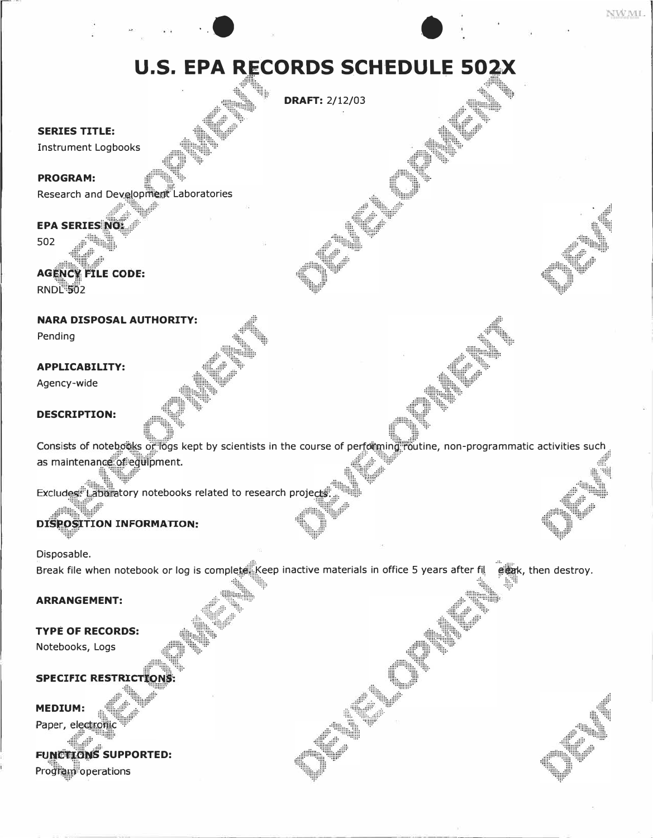# **U.S. EPA RECORDS SCHEDULE 502X**

**DRAFT: 2/12/03** 

#### **SERIES TITLE:**

**Instrument Logbooks** 

## **PROGRAM:**

Research and Development Laboratories

## **EPA SERIES NO:**

502

## **AGENCY FILE CODE:**

Wh.Hh

**RNDL 502** 

## **NARA DISPOSAL AUTHORITY:**

Pending

### **APPLICABILITY:**

Agency-wide

## **DESCRIPTION:**

Consists of notebooks of logs kept by scientists in the course of performing routine, non-programmatic activities such as maintenance of equipment.

Excludes: Laboratory notebooks related to research projects

## **DISPOSITION INFORMATION:**

Disposable.

Break file when notebook or log is complete. Keep inactive materials in office 5 years after fil grak, then destroy.

#### **ARRANGEMENT:**

**TYPE OF RECORDS:** 

Notebooks, Logs

## **SPECIFIC RESTRICTIONS**

**MEDIUM:** 

Paper, elect

## **FUNCTIONS SUPPORTED:** Program operations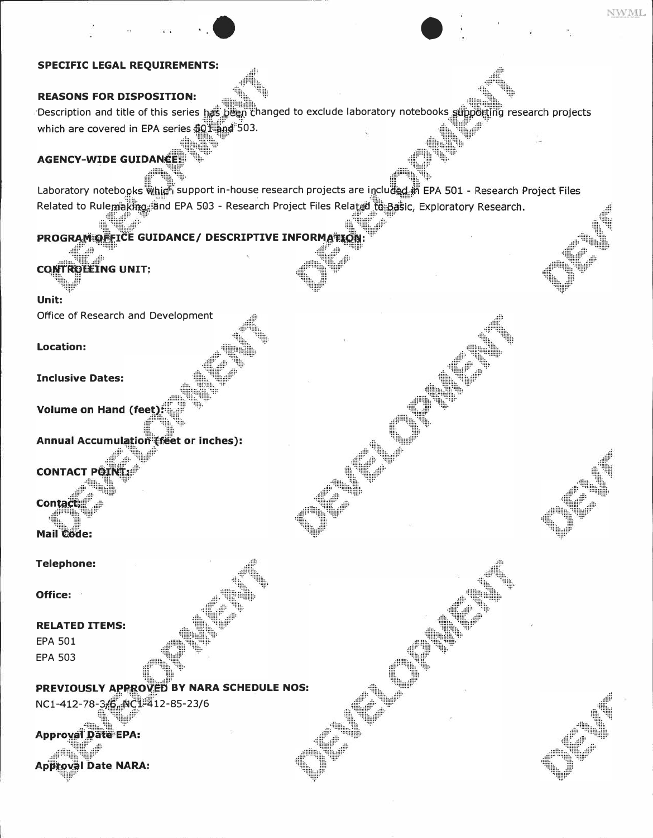## **SPECIFIC LEGAL REQUIREMENTS:**

## **REASONS FOR DISPOSITION:**

Description and title of this series has been changed to exclude laboratory notebooks supporting research projects which are covered in EPA series \$01 and 503.

NWML

## **AGENCY-WIDE GUIDANCE**

Laboratory notebooks Which support in-house research projects are included in EPA 501 - Research Project Files Related to Rulemaking and EPA 503 - Research Project Files Related to Basic, Exploratory Research.

## PROGRAM OFFICE GUIDANCE/ DESCRIPTIVE INFORMATION

**CONTROLLING UNIT:** 

Unit:

Office of Research and Development

**Location:** 

**Inclusive Dates:** 

**Volume on Hand (feet)** 

**Annual Accumulation (feet or inches):** 

**CONTACT POINT** 

**Contact: Mail Code:** 

**Telephone:** 

Office:

#### **RELATED ITEMS:**

**EPA 501 EPA 503** 

PREVIOUSLY APPROVED BY NARA SCHEDULE NOS: NC1-412-78-36 NC1-412-85-23/6

**Approval Date EPA:** 

**Approval Date NARA:**